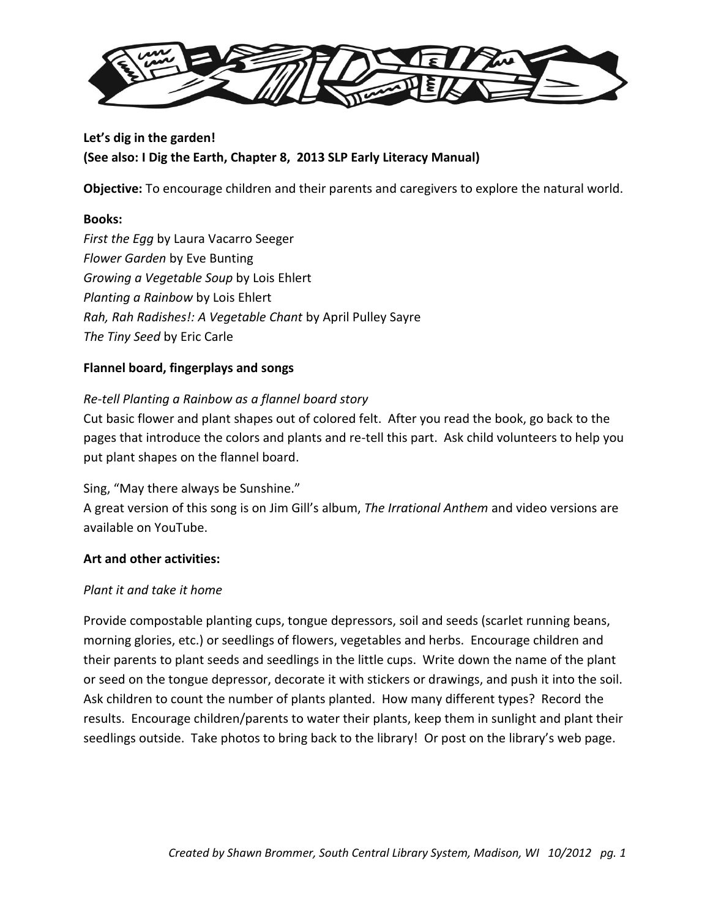

# **Let's dig in the garden! (See also: I Dig the Earth, Chapter 8, 2013 SLP Early Literacy Manual)**

**Objective:** To encourage children and their parents and caregivers to explore the natural world.

# **Books:**

*First the Egg* by Laura Vacarro Seeger *Flower Garden* by Eve Bunting *Growing a Vegetable Soup* by Lois Ehlert *Planting a Rainbow* by Lois Ehlert *Rah, Rah Radishes!: A Vegetable Chant* by April Pulley Sayre *The Tiny Seed* by Eric Carle

# **Flannel board, fingerplays and songs**

# *Re-tell Planting a Rainbow as a flannel board story*

Cut basic flower and plant shapes out of colored felt. After you read the book, go back to the pages that introduce the colors and plants and re-tell this part. Ask child volunteers to help you put plant shapes on the flannel board.

Sing, "May there always be Sunshine."

A great version of this song is on Jim Gill's album, *The Irrational Anthem* and video versions are available on YouTube.

# **Art and other activities:**

# *Plant it and take it home*

Provide compostable planting cups, tongue depressors, soil and seeds (scarlet running beans, morning glories, etc.) or seedlings of flowers, vegetables and herbs. Encourage children and their parents to plant seeds and seedlings in the little cups. Write down the name of the plant or seed on the tongue depressor, decorate it with stickers or drawings, and push it into the soil. Ask children to count the number of plants planted. How many different types? Record the results. Encourage children/parents to water their plants, keep them in sunlight and plant their seedlings outside. Take photos to bring back to the library! Or post on the library's web page.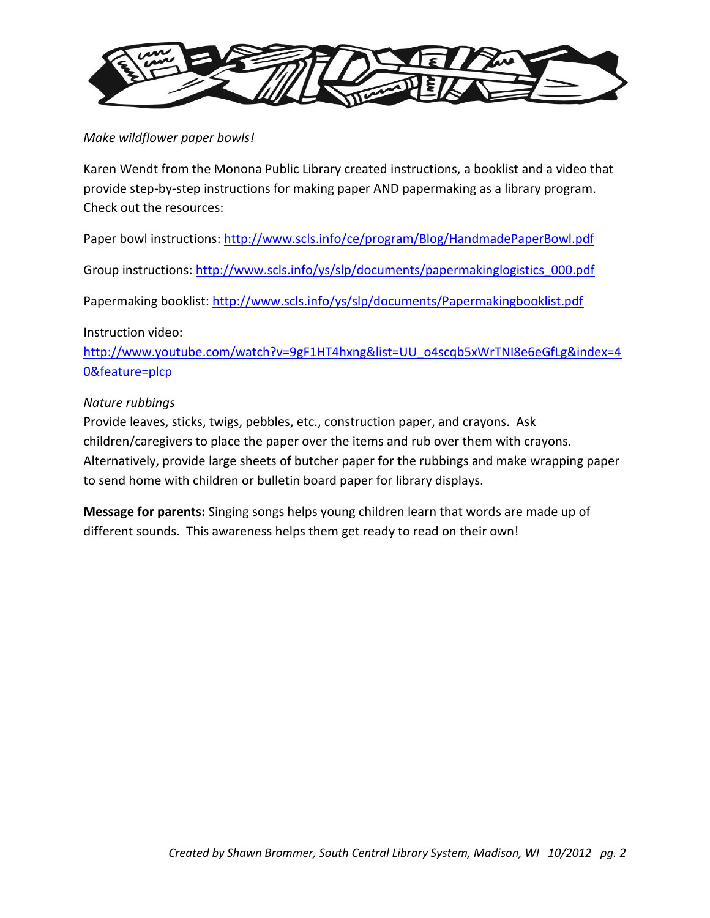

*Make wildflower paper bowls!* 

Karen Wendt from the Monona Public Library created instructions, a booklist and a video that provide step-by-step instructions for making paper AND papermaking as a library program. Check out the resources:

Paper bowl instructions:<http://www.scls.info/ce/program/Blog/HandmadePaperBowl.pdf>

Group instructions: [http://www.scls.info/ys/slp/documents/papermakinglogistics\\_000.pdf](http://www.scls.info/ys/slp/documents/papermakinglogistics_000.pdf)

Papermaking booklist:<http://www.scls.info/ys/slp/documents/Papermakingbooklist.pdf>

# Instruction video:

[http://www.youtube.com/watch?v=9gF1HT4hxng&list=UU\\_o4scqb5xWrTNI8e6eGfLg&index=4](http://www.youtube.com/watch?v=9gF1HT4hxng&list=UU_o4scqb5xWrTNI8e6eGfLg&index=40&feature=plcp) [0&feature=plcp](http://www.youtube.com/watch?v=9gF1HT4hxng&list=UU_o4scqb5xWrTNI8e6eGfLg&index=40&feature=plcp)

# *Nature rubbings*

Provide leaves, sticks, twigs, pebbles, etc., construction paper, and crayons. Ask children/caregivers to place the paper over the items and rub over them with crayons. Alternatively, provide large sheets of butcher paper for the rubbings and make wrapping paper to send home with children or bulletin board paper for library displays.

**Message for parents:** Singing songs helps young children learn that words are made up of different sounds. This awareness helps them get ready to read on their own!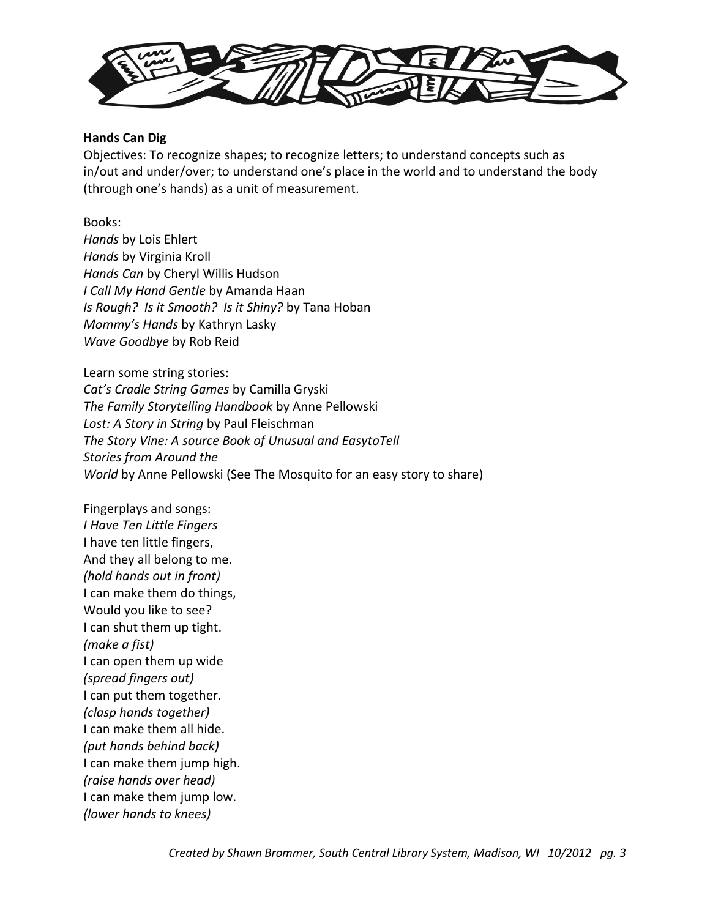

### **Hands Can Dig**

Objectives: To recognize shapes; to recognize letters; to understand concepts such as in/out and under/over; to understand one's place in the world and to understand the body (through one's hands) as a unit of measurement.

Books: *Hands* by Lois Ehlert *Hands* by Virginia Kroll *Hands Can* by Cheryl Willis Hudson *I Call My Hand Gentle* by Amanda Haan *Is Rough? Is it Smooth? Is it Shiny?* by Tana Hoban *Mommy's Hands* by Kathryn Lasky *Wave Goodbye* by Rob Reid

Learn some string stories: *Cat's Cradle String Games* by Camilla Gryski *The Family Storytelling Handbook* by Anne Pellowski *Lost: A Story in String* by Paul Fleischman *The Story Vine: A source Book of Unusual and EasytoTell Stories from Around the World* by Anne Pellowski (See The Mosquito for an easy story to share)

Fingerplays and songs: *I Have Ten Little Fingers* I have ten little fingers, And they all belong to me. *(hold hands out in front)* I can make them do things, Would you like to see? I can shut them up tight. *(make a fist)* I can open them up wide *(spread fingers out)* I can put them together. *(clasp hands together)* I can make them all hide. *(put hands behind back)* I can make them jump high. *(raise hands over head)* I can make them jump low. *(lower hands to knees)*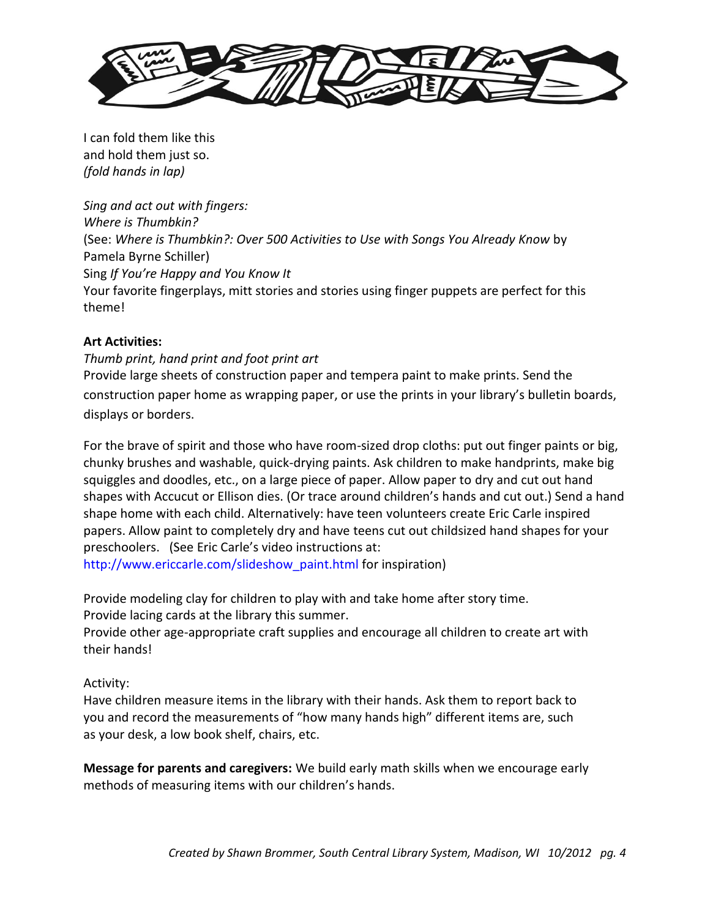

I can fold them like this and hold them just so. *(fold hands in lap)*

*Sing and act out with fingers: Where is Thumbkin?* (See: *Where is Thumbkin?: Over 500 Activities to Use with Songs You Already Know* by Pamela Byrne Schiller) Sing *If You're Happy and You Know It* Your favorite fingerplays, mitt stories and stories using finger puppets are perfect for this theme!

# **Art Activities:**

*Thumb print, hand print and foot print art*  Provide large sheets of construction paper and tempera paint to make prints. Send the construction paper home as wrapping paper, or use the prints in your library's bulletin boards, displays or borders.

For the brave of spirit and those who have room-sized drop cloths: put out finger paints or big, chunky brushes and washable, quick-drying paints. Ask children to make handprints, make big squiggles and doodles, etc., on a large piece of paper. Allow paper to dry and cut out hand shapes with Accucut or Ellison dies. (Or trace around children's hands and cut out.) Send a hand shape home with each child. Alternatively: have teen volunteers create Eric Carle inspired papers. Allow paint to completely dry and have teens cut out childsized hand shapes for your preschoolers. (See Eric Carle's video instructions at:

http://www.ericcarle.com/slideshow\_paint.html for inspiration)

Provide modeling clay for children to play with and take home after story time. Provide lacing cards at the library this summer.

Provide other age-appropriate craft supplies and encourage all children to create art with their hands!

# Activity:

Have children measure items in the library with their hands. Ask them to report back to you and record the measurements of "how many hands high" different items are, such as your desk, a low book shelf, chairs, etc.

**Message for parents and caregivers:** We build early math skills when we encourage early methods of measuring items with our children's hands.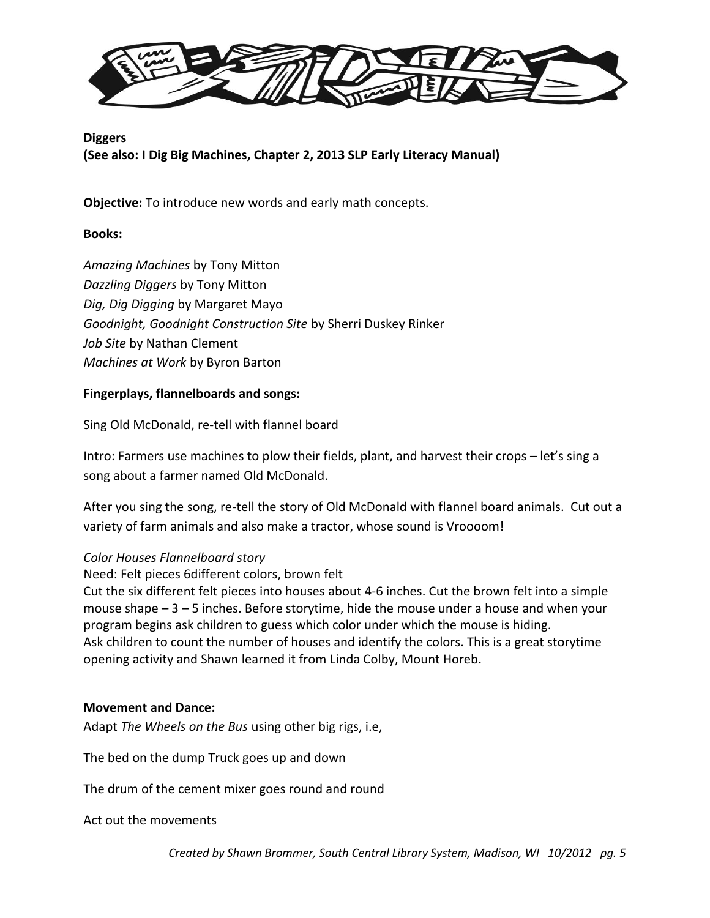

# **Diggers (See also: I Dig Big Machines, Chapter 2, 2013 SLP Early Literacy Manual)**

**Objective:** To introduce new words and early math concepts.

# **Books:**

*Amazing Machines* by Tony Mitton *Dazzling Diggers* by Tony Mitton *Dig, Dig Digging* by Margaret Mayo *Goodnight, Goodnight Construction Site* by Sherri Duskey Rinker *Job Site* by Nathan Clement *Machines at Work* by Byron Barton

# **Fingerplays, flannelboards and songs:**

Sing Old McDonald, re-tell with flannel board

Intro: Farmers use machines to plow their fields, plant, and harvest their crops – let's sing a song about a farmer named Old McDonald.

After you sing the song, re-tell the story of Old McDonald with flannel board animals. Cut out a variety of farm animals and also make a tractor, whose sound is Vroooom!

# *Color Houses Flannelboard story*

Need: Felt pieces 6different colors, brown felt

Cut the six different felt pieces into houses about 4-6 inches. Cut the brown felt into a simple mouse shape – 3 – 5 inches. Before storytime, hide the mouse under a house and when your program begins ask children to guess which color under which the mouse is hiding. Ask children to count the number of houses and identify the colors. This is a great storytime opening activity and Shawn learned it from Linda Colby, Mount Horeb.

# **Movement and Dance:**

Adapt *The Wheels on the Bus* using other big rigs, i.e,

The bed on the dump Truck goes up and down

The drum of the cement mixer goes round and round

Act out the movements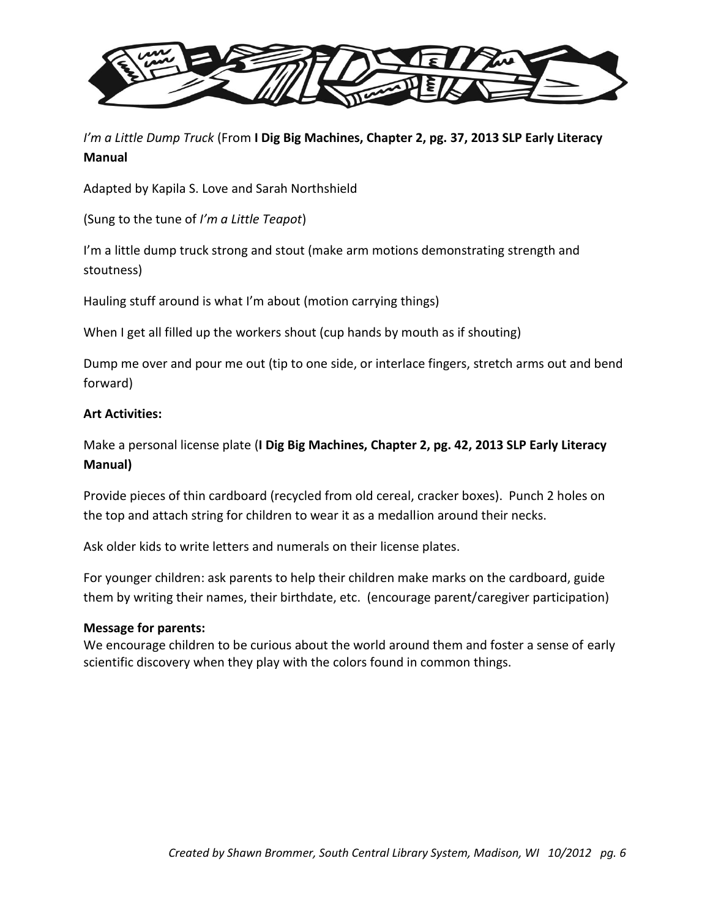

*I'm a Little Dump Truck* (From **I Dig Big Machines, Chapter 2, pg. 37, 2013 SLP Early Literacy Manual**

Adapted by Kapila S. Love and Sarah Northshield

(Sung to the tune of *I'm a Little Teapot*)

I'm a little dump truck strong and stout (make arm motions demonstrating strength and stoutness)

Hauling stuff around is what I'm about (motion carrying things)

When I get all filled up the workers shout (cup hands by mouth as if shouting)

Dump me over and pour me out (tip to one side, or interlace fingers, stretch arms out and bend forward)

## **Art Activities:**

Make a personal license plate (**I Dig Big Machines, Chapter 2, pg. 42, 2013 SLP Early Literacy Manual)**

Provide pieces of thin cardboard (recycled from old cereal, cracker boxes). Punch 2 holes on the top and attach string for children to wear it as a medallion around their necks.

Ask older kids to write letters and numerals on their license plates.

For younger children: ask parents to help their children make marks on the cardboard, guide them by writing their names, their birthdate, etc. (encourage parent/caregiver participation)

## **Message for parents:**

We encourage children to be curious about the world around them and foster a sense of early scientific discovery when they play with the colors found in common things.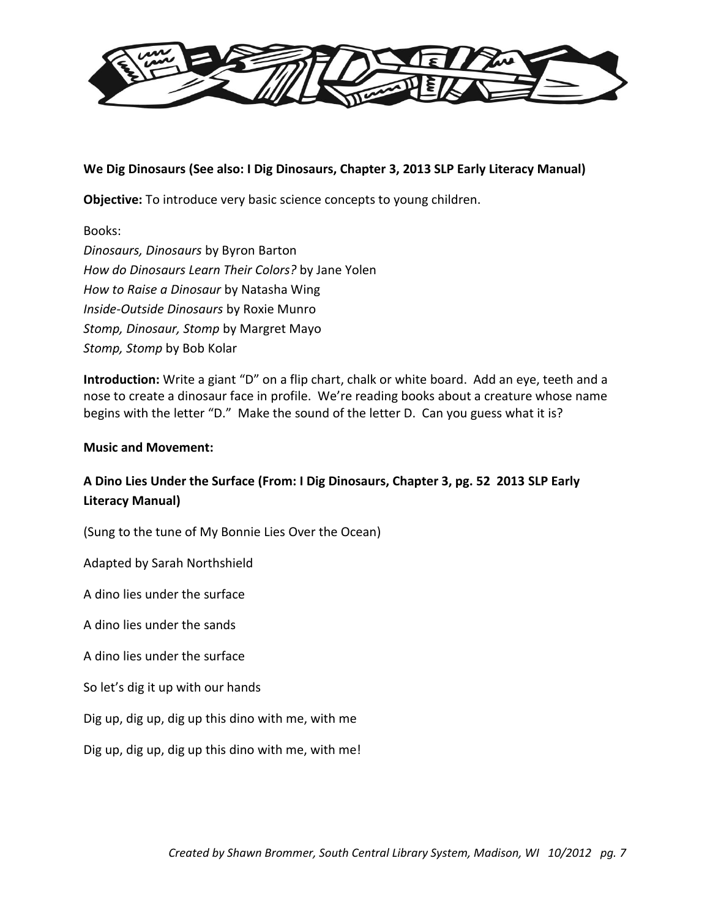

## **We Dig Dinosaurs (See also: I Dig Dinosaurs, Chapter 3, 2013 SLP Early Literacy Manual)**

**Objective:** To introduce very basic science concepts to young children.

Books: *Dinosaurs, Dinosaurs* by Byron Barton *How do Dinosaurs Learn Their Colors?* by Jane Yolen *How to Raise a Dinosaur* by Natasha Wing *Inside-Outside Dinosaurs* by Roxie Munro *Stomp, Dinosaur, Stomp* by Margret Mayo *Stomp, Stomp* by Bob Kolar

**Introduction:** Write a giant "D" on a flip chart, chalk or white board. Add an eye, teeth and a nose to create a dinosaur face in profile. We're reading books about a creature whose name begins with the letter "D." Make the sound of the letter D. Can you guess what it is?

### **Music and Movement:**

# **A Dino Lies Under the Surface (From: I Dig Dinosaurs, Chapter 3, pg. 52 2013 SLP Early Literacy Manual)**

(Sung to the tune of My Bonnie Lies Over the Ocean)

Adapted by Sarah Northshield

A dino lies under the surface

A dino lies under the sands

A dino lies under the surface

So let's dig it up with our hands

Dig up, dig up, dig up this dino with me, with me

Dig up, dig up, dig up this dino with me, with me!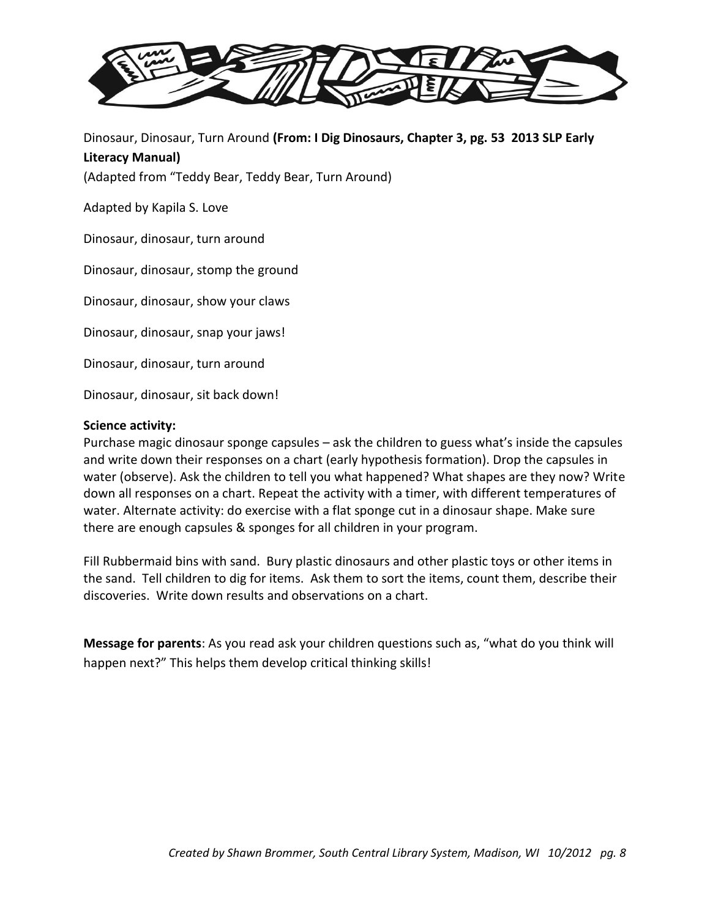

Dinosaur, Dinosaur, Turn Around **(From: I Dig Dinosaurs, Chapter 3, pg. 53 2013 SLP Early Literacy Manual)**

(Adapted from "Teddy Bear, Teddy Bear, Turn Around)

Adapted by Kapila S. Love

Dinosaur, dinosaur, turn around

Dinosaur, dinosaur, stomp the ground

Dinosaur, dinosaur, show your claws

Dinosaur, dinosaur, snap your jaws!

Dinosaur, dinosaur, turn around

Dinosaur, dinosaur, sit back down!

#### **Science activity:**

Purchase magic dinosaur sponge capsules – ask the children to guess what's inside the capsules and write down their responses on a chart (early hypothesis formation). Drop the capsules in water (observe). Ask the children to tell you what happened? What shapes are they now? Write down all responses on a chart. Repeat the activity with a timer, with different temperatures of water. Alternate activity: do exercise with a flat sponge cut in a dinosaur shape. Make sure there are enough capsules & sponges for all children in your program.

Fill Rubbermaid bins with sand. Bury plastic dinosaurs and other plastic toys or other items in the sand. Tell children to dig for items. Ask them to sort the items, count them, describe their discoveries. Write down results and observations on a chart.

**Message for parents**: As you read ask your children questions such as, "what do you think will happen next?" This helps them develop critical thinking skills!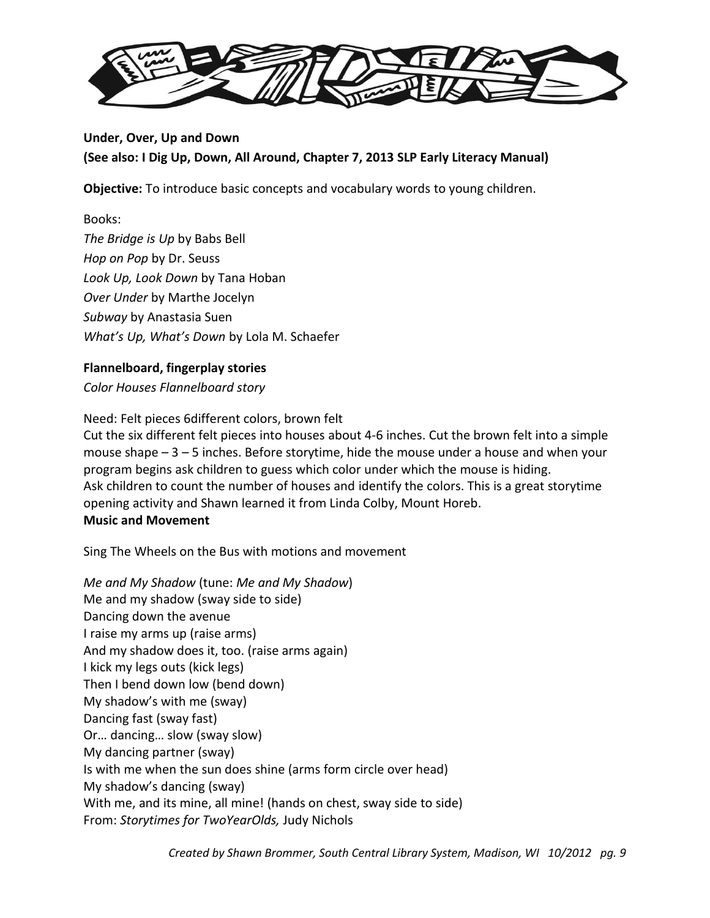

# **Under, Over, Up and Down (See also: I Dig Up, Down, All Around, Chapter 7, 2013 SLP Early Literacy Manual)**

**Objective:** To introduce basic concepts and vocabulary words to young children.

Books: *The Bridge is Up* by Babs Bell *Hop on Pop* by Dr. Seuss *Look Up, Look Down* by Tana Hoban *Over Under* by Marthe Jocelyn *Subway* by Anastasia Suen *What's Up, What's Down* by Lola M. Schaefer

# **Flannelboard, fingerplay stories**

*Color Houses Flannelboard story*

Need: Felt pieces 6different colors, brown felt

Cut the six different felt pieces into houses about 4-6 inches. Cut the brown felt into a simple mouse shape – 3 – 5 inches. Before storytime, hide the mouse under a house and when your program begins ask children to guess which color under which the mouse is hiding. Ask children to count the number of houses and identify the colors. This is a great storytime opening activity and Shawn learned it from Linda Colby, Mount Horeb. **Music and Movement**

Sing The Wheels on the Bus with motions and movement

*Me and My Shadow* (tune: *Me and My Shadow*) Me and my shadow (sway side to side) Dancing down the avenue I raise my arms up (raise arms) And my shadow does it, too. (raise arms again) I kick my legs outs (kick legs) Then I bend down low (bend down) My shadow's with me (sway) Dancing fast (sway fast) Or… dancing… slow (sway slow) My dancing partner (sway) Is with me when the sun does shine (arms form circle over head) My shadow's dancing (sway) With me, and its mine, all mine! (hands on chest, sway side to side) From: *Storytimes for TwoYearOlds,* Judy Nichols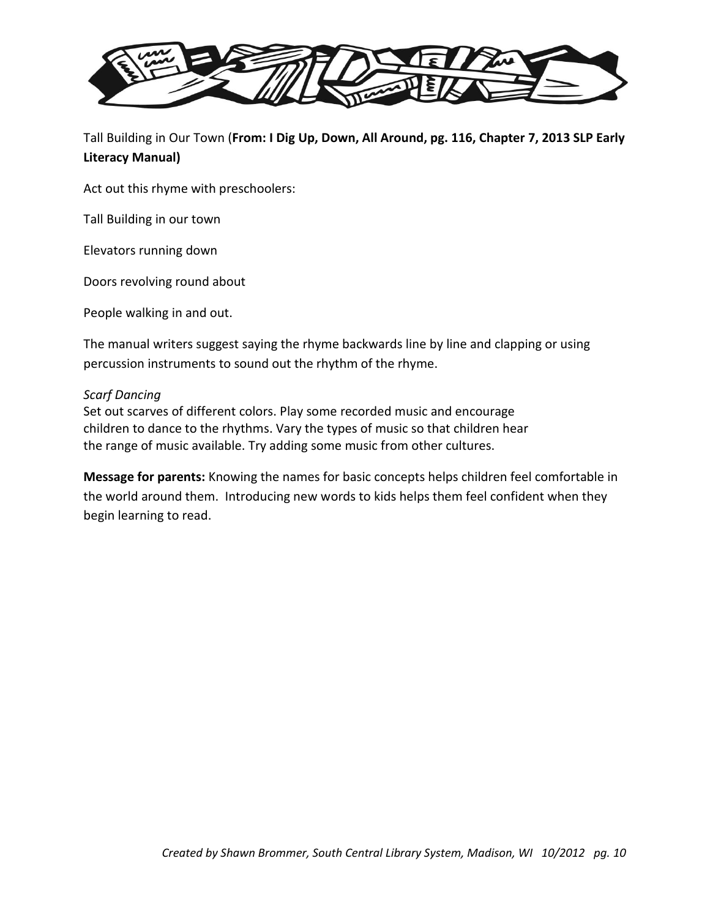

Tall Building in Our Town (**From: I Dig Up, Down, All Around, pg. 116, Chapter 7, 2013 SLP Early Literacy Manual)**

Act out this rhyme with preschoolers:

Tall Building in our town

Elevators running down

Doors revolving round about

People walking in and out.

The manual writers suggest saying the rhyme backwards line by line and clapping or using percussion instruments to sound out the rhythm of the rhyme.

### *Scarf Dancing*

Set out scarves of different colors. Play some recorded music and encourage children to dance to the rhythms. Vary the types of music so that children hear the range of music available. Try adding some music from other cultures.

**Message for parents:** Knowing the names for basic concepts helps children feel comfortable in the world around them. Introducing new words to kids helps them feel confident when they begin learning to read.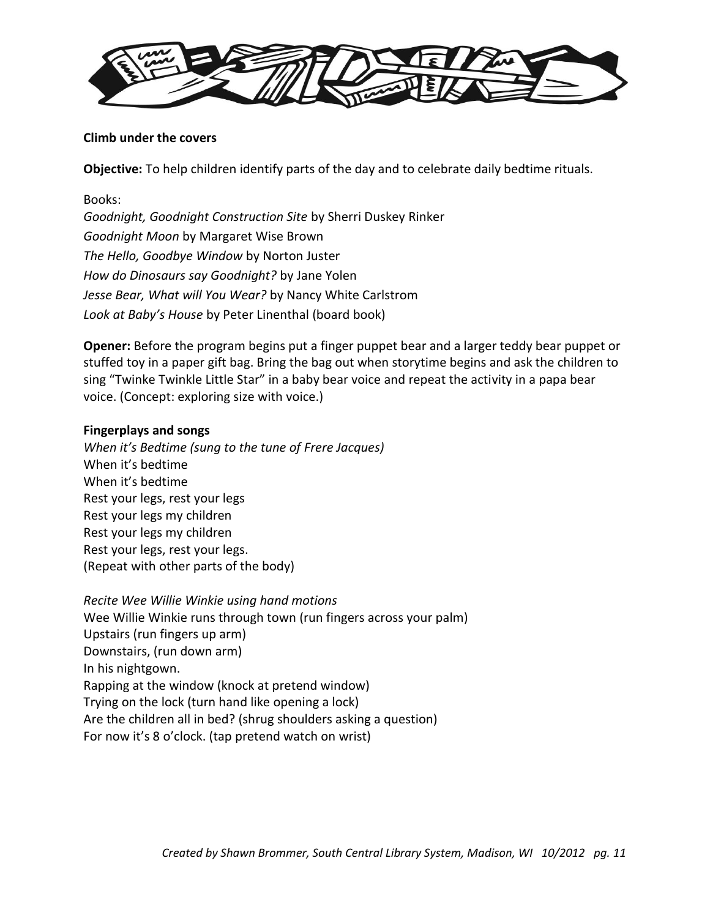

## **Climb under the covers**

**Objective:** To help children identify parts of the day and to celebrate daily bedtime rituals.

Books: *Goodnight, Goodnight Construction Site* by Sherri Duskey Rinker *Goodnight Moon* by Margaret Wise Brown *The Hello, Goodbye Window* by Norton Juster *How do Dinosaurs say Goodnight?* by Jane Yolen *Jesse Bear, What will You Wear?* by Nancy White Carlstrom *Look at Baby's House* by Peter Linenthal (board book)

**Opener:** Before the program begins put a finger puppet bear and a larger teddy bear puppet or stuffed toy in a paper gift bag. Bring the bag out when storytime begins and ask the children to sing "Twinke Twinkle Little Star" in a baby bear voice and repeat the activity in a papa bear voice. (Concept: exploring size with voice.)

## **Fingerplays and songs**

*When it's Bedtime (sung to the tune of Frere Jacques)* When it's bedtime When it's bedtime Rest your legs, rest your legs Rest your legs my children Rest your legs my children Rest your legs, rest your legs. (Repeat with other parts of the body)

*Recite Wee Willie Winkie using hand motions* Wee Willie Winkie runs through town (run fingers across your palm) Upstairs (run fingers up arm) Downstairs, (run down arm) In his nightgown. Rapping at the window (knock at pretend window) Trying on the lock (turn hand like opening a lock) Are the children all in bed? (shrug shoulders asking a question) For now it's 8 o'clock. (tap pretend watch on wrist)